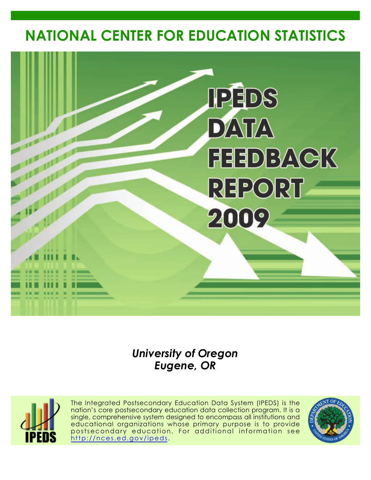# **NATIONAL CENTER FOR EDUCATION STATISTICS**



# *University of Oregon Eugene, OR*



The Integrated Postsecondary Education Data System (IPEDS) is the nation's core postsecondary education data collection program. It is a single, comprehensive system designed to encompass all institutions and educational organizations whose primary purpose is to provide postsecondary education. For additional information see <http://nces.ed.gov/ipeds>.

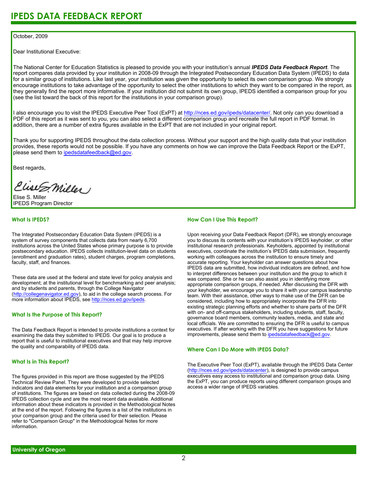#### October, 2009

Dear Institutional Executive:

The National Center for Education Statistics is pleased to provide you with your institution's annual *IPEDS Data Feedback Report*. The report compares data provided by your institution in 2008-09 through the Integrated Postsecondary Education Data System (IPEDS) to data for a similar group of institutions. Like last year, your institution was given the opportunity to select its own comparison group. We strongly encourage institutions to take advantage of the opportunity to select the other institutions to which they want to be compared in the report, as they generally find the report more informative. If your institution did not submit its own group, IPEDS identified a comparison group for you (see the list toward the back of this report for the institutions in your comparison group).

I also encourage you to visit the IPEDS Executive Peer Tool (ExPT) at <http://nces.ed.gov/ipeds/datacenter/>. Not only can you download a PDF of this report as it was sent to you, you can also select a different comparison group and recreate the full report in PDF format. In addition, there are a number of extra figures available in the ExPT that are not included in your original report.

Thank you for supporting IPEDS throughout the data collection process. Without your support and the high quality data that your institution provides, these reports would not be possible. If you have any comments on how we can improve the Data Feedback Report or the ExPT, please send them to ipedsdatafeedback@ed.gov.

Best regards,

Clist S. Miller

Elise S. Miller IPEDS Program Director

#### **What Is IPEDS?**

The Integrated Postsecondary Education Data System (IPEDS) is a system of survey components that collects data from nearly 6,700 institutions across the United States whose primary purpose is to provide postsecondary education. IPEDS collects institution-level data on students (enrollment and graduation rates), student charges, program completions, faculty, staff, and finances.

These data are used at the federal and state level for policy analysis and development; at the institutional level for benchmarking and peer analysis; and by students and parents, through the College Navigator [\(http://collegenavigator.ed.gov\)](http://collegenavigator.ed.gov), to aid in the college search process. For more information about IPEDS, see [http://nces.ed.gov/ipeds.](http://nces.ed.gov/ipeds)

#### **What Is the Purpose of This Report?**

The Data Feedback Report is intended to provide institutions a context for examining the data they submitted to IPEDS. Our goal is to produce a report that is useful to institutional executives and that may help improve the quality and comparability of IPEDS data.

#### **What Is in This Report?**

The figures provided in this report are those suggested by the IPEDS Technical Review Panel. They were developed to provide selected indicators and data elements for your institution and a comparison group of institutions. The figures are based on data collected during the 2008-09 IPEDS collection cycle and are the most recent data available. Additional information about these indicators is provided in the Methodological Notes at the end of the report. Following the figures is a list of the institutions in your comparison group and the criteria used for their selection. Please refer to "Comparison Group" in the Methodological Notes for more information.

#### **How Can I Use This Report?**

Upon receiving your Data Feedback Report (DFR), we strongly encourage you to discuss its contents with your institution's IPEDS keyholder, or other institutional research professionals. Keyholders, appointed by institutional executives, coordinate the institution's IPEDS data submission, frequently working with colleagues across the institution to ensure timely and accurate reporting. Your keyholder can answer questions about how IPEDS data are submitted, how individual indicators are defined, and how to interpret differences between your institution and the group to which it was compared. She or he can also assist you in identifying more appropriate comparison groups, if needed. After discussing the DFR with your keyholder, we encourage you to share it with your campus leadership team. With their assistance, other ways to make use of the DFR can be considered, including how to appropriately incorporate the DFR into existing strategic planning efforts and whether to share parts of the DFR with on- and off-campus stakeholders, including students, staff, faculty, governance board members, community leaders, media, and state and local officials. We are committed to ensuring the DFR is useful to campus executives. If after working with the DFR you have suggestions for future improvements, please send them to ipedsdatafeedback@ed.gov.

#### **Where Can I Do More with IPEDS Data?**

The Executive Peer Tool (ExPT), available through the IPEDS Data Center [\(http://nces.ed.gov/ipeds/datacenter](http://nces.ed.gov/ipeds/datacenter)), is designed to provide campus executives easy access to institutional and comparison group data. Using the ExPT, you can produce reports using different comparison groups and access a wider range of IPEDS variables.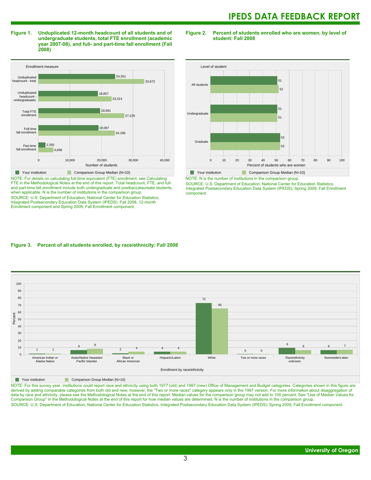**Figure 1. Unduplicated 12-month headcount of all students and of undergraduate students, total FTE enrollment (academic year 2007-08), and full- and part-time fall enrollment (Fall 2008)**



NOTE: For details on calculating full-time equivalent (FTE) enrollment, see Calculating FTE in the Methodological Notes at the end of this report. Total headcount, FTE, and fulland part-time fall enrollment include both undergraduate and postbaccalaureate students, when applicable. N is the number of institutions in the comparison group. SOURCE: U.S. Department of Education, National Center for Education Statistics, Integrated Postsecondary Education Data System (IPEDS): Fall 2008, 12-month Enrollment component and Spring 2009, Fall Enrollment component.

**Figure 2. Percent of students enrolled who are women, by level of student: Fall 2008**



NOTE: N is the number of institutions in the comparison group.

SOURCE: U.S. Department of Education, National Center for Education Statistics, Integrated Postsecondary Education Data System (IPEDS): Spring 2009, Fall Enrollment component.

#### **Figure 3. Percent of all students enrolled, by race/ethnicity: Fall 2008**



**Nour institution** Comparison Group Median (N=10)

NOTE: For this survey year, institutions could report race and ethnicity using both 1977 (old) and 1997 (new) Office of Management and Budget categories. Categories shown in this figure are derived by adding comparable categories from both old and new; however, the "Two or more races" category appears only in the 1997 version. For more information about disaggregation of data by race and ethnicity, please see the Methodological Notes at the end of this report. Median values for the comparison group may not add to 100 percent. See "Use of Median Values for Comparison Group" in the Methodological Notes at the end of this report for how median values are determined. N is the number of institutions in the comparison group. SOURCE: U.S. Department of Education, National Center for Education Statistics, Integrated Postsecondary Education Data System (IPEDS): Spring 2009, Fall Enrollment component.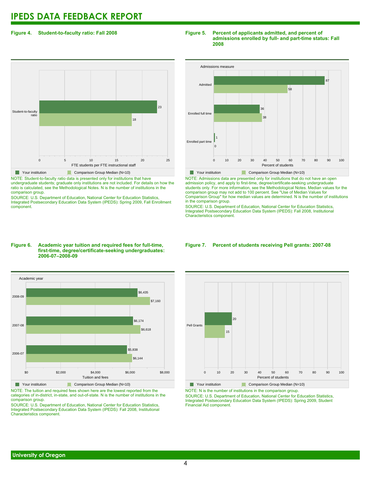#### **Figure 4. Student-to-faculty ratio: Fall 2008**

# 0 5 10 15 20 25 FTE students per FTE instructional staff Student-to-faculty ratio 18 23 **The Comparison Group Median (N=10)** Comparison Group Median (N=10)

NOTE: Student-to-faculty ratio data is presented only for institutions that have undergraduate students; graduate only institutions are not included. For details on how the ratio is calculated, see the Methodological Notes. N is the number of institutions in the comparison group.

SOURCE: U.S. Department of Education, National Center for Education Statistics, Integrated Postsecondary Education Data System (IPEDS): Spring 2009, Fall Enrollment component.

#### **Figure 5. Percent of applicants admitted, and percent of admissions enrolled by full- and part-time status: Fall 2008**



NOTE: Admissions data are presented only for institutions that do not have an open admission policy, and apply to first-time, degree/certificate-seeking undergraduate students only. For more information, see the Methodological Notes. Median values for the comparison group may not add to 100 percent. See "Use of Median Values for Comparison Group" for how median values are determined. N is the number of institutions in the comparison group.

SOURCE: U.S. Department of Education, National Center for Education Statistics, Integrated Postsecondary Education Data System (IPEDS): Fall 2008, Institutional Characteristics component.

#### **Figure 6. Academic year tuition and required fees for full-time, first-time, degree/certificate-seeking undergraduates: 2006-07–2008-09**



NOTE: The tuition and required fees shown here are the lowest reported from the categories of in-district, in-state, and out-of-state. N is the number of institutions in the comparison group.

SOURCE: U.S. Department of Education, National Center for Education Statistics, Integrated Postsecondary Education Data System (IPEDS): Fall 2008, Institutional Characteristics component.

#### **Figure 7. Percent of students receiving Pell grants: 2007-08**



**Your institution** Comparison Group Median (N=10) NOTE: N is the number of institutions in the comparison group.

SOURCE: U.S. Department of Education, National Center for Education Statistics, Integrated Postsecondary Education Data System (IPEDS): Spring 2009, Student Financial Aid component.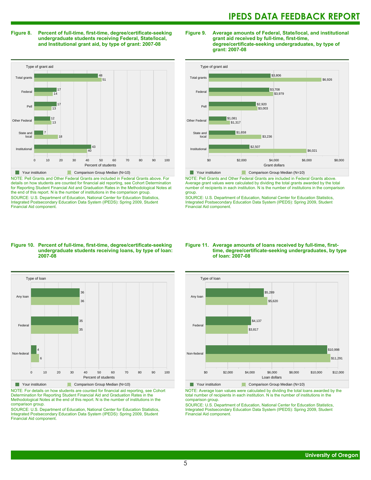#### **Figure 8. Percent of full-time, first-time, degree/certificate-seeking undergraduate students receiving Federal, State/local, and Institutional grant aid, by type of grant: 2007-08**

Type of grant aid 0 10 20 30 40 50 60 70 80 90 100 Percent of students Institutional State and local Other Federal Pell Federal Total grants 40  $\overline{43}$ 18 7 13 12 13 17  $14$ 17  $5<sup>7</sup>$ 48 **The Comparison Group Median (N=10)** Comparison Group Median (N=10)

NOTE: Pell Grants and Other Federal Grants are included in Federal Grants above. For details on how students are counted for financial aid reporting, see Cohort Determination for Reporting Student Financial Aid and Graduation Rates in the Methodological Notes at the end of this report. N is the number of institutions in the comparison group. SOURCE: U.S. Department of Education, National Center for Education Statistics, Integrated Postsecondary Education Data System (IPEDS): Spring 2009, Student Financial Aid component.

#### **Figure 9. Average amounts of Federal, State/local, and institutional grant aid received by full-time, first-time, degree/certificate-seeking undergraduates, by type of grant: 2007-08**



NOTE: Pell Grants and Other Federal Grants are included in Federal Grants above. Average grant values were calculated by dividing the total grants awarded by the total number of recipients in each institution. N is the number of institutions in the comparison group.

SOURCE: U.S. Department of Education, National Center for Education Statistics, Integrated Postsecondary Education Data System (IPEDS): Spring 2009, Student Financial Aid component.

#### **Figure 10. Percent of full-time, first-time, degree/certificate-seeking undergraduate students receiving loans, by type of loan: 2007-08**



NOTE: For details on how students are counted for financial aid reporting, see Cohort Determination for Reporting Student Financial Aid and Graduation Rates in the Methodological Notes at the end of this report. N is the number of institutions in the comparison group.

SOURCE: U.S. Department of Education, National Center for Education Statistics, Integrated Postsecondary Education Data System (IPEDS): Spring 2009, Student Financial Aid component.

#### **Figure 11. Average amounts of loans received by full-time, firsttime, degree/certificate-seeking undergraduates, by type of loan: 2007-08**



NOTE: Average loan values were calculated by dividing the total loans awarded by the total number of recipients in each institution. N is the number of institutions in the comparison group.

SOURCE: U.S. Department of Education, National Center for Education Statistics, Integrated Postsecondary Education Data System (IPEDS): Spring 2009, Student Financial Aid component.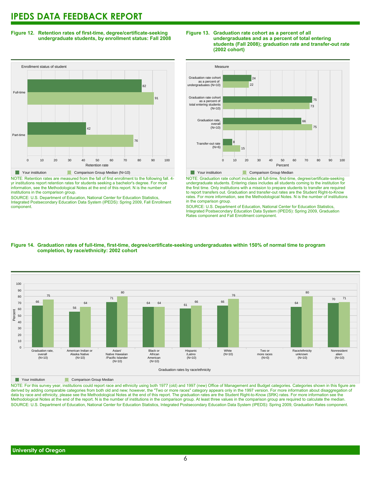**Figure 12. Retention rates of first-time, degree/certificate-seeking undergraduate students, by enrollment status: Fall 2008**



NOTE: Retention rates are measured from the fall of first enrollment to the following fall. 4 yr institutions report retention rates for students seeking a bachelor's degree. For more information, see the Methodological Notes at the end of this report. N is the number of institutions in the comparison group.

SOURCE: U.S. Department of Education, National Center for Education Statistics, Integrated Postsecondary Education Data System (IPEDS): Spring 2009, Fall Enrollment component.





NOTE: Graduation rate cohort includes all full-time, first-time, degree/certificate-seeking undergraduate students. Entering class includes all students coming to the institution for the first time. Only institutions with a mission to prepare students to transfer are required to report transfers out. Graduation and transfer-out rates are the Student Right-to-Know rates. For more information, see the Methodological Notes. N is the number of institutions in the comparison group.

SOURCE: U.S. Department of Education, National Center for Education Statistics, Integrated Postsecondary Education Data System (IPEDS): Spring 2009, Graduation Rates component and Fall Enrollment component.



#### **Figure 14. Graduation rates of full-time, first-time, degree/certificate-seeking undergraduates within 150% of normal time to program completion, by race/ethnicity: 2002 cohort**

**The Comparison Group Median** 

NOTE: For this survey year, institutions could report race and ethnicity using both 1977 (old) and 1997 (new) Office of Management and Budget categories. Categories shown in this figure are derived by adding comparable categories from both old and new; however, the "Two or more races" category appears only in the 1997 version. For more information about disaggregation of data by race and ethnicity, please see the Methodological Notes at the end of this report. The graduation rates are the Student Right-to-Know (SRK) rates. For more information see the Methodological Notes at the end of the report. N is the number of institutions in the comparison group. At least three values in the comparison group are required to calculate the median. SOURCE: U.S. Department of Education, National Center for Education Statistics, Integrated Postsecondary Education Data System (IPEDS): Spring 2009, Graduation Rates component.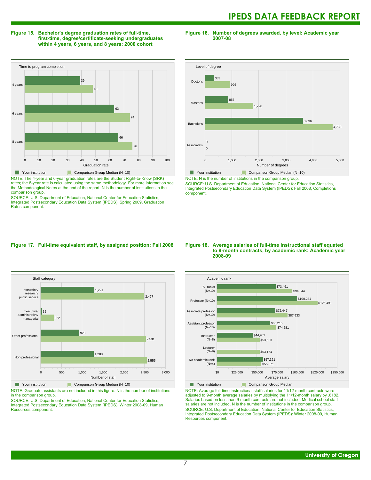#### **Figure 15. Bachelor's degree graduation rates of full-time, first-time, degree/certificate-seeking undergraduates within 4 years, 6 years, and 8 years: 2000 cohort**

**Figure 16. Number of degrees awarded, by level: Academic year 2007-08**



NOTE: The 4-year and 6-year graduation rates are the Student Right-to-Know (SRK) rates; the 8-year rate is calculated using the same methodology. For more information see the Methodological Notes at the end of the report. N is the number of institutions in the comparison group.

SOURCE: U.S. Department of Education, National Center for Education Statistics, Integrated Postsecondary Education Data System (IPEDS): Spring 2009, Graduation Rates component.



NOTE: N is the number of institutions in the comparison group.

SOURCE: U.S. Department of Education, National Center for Education Statistics, Integrated Postsecondary Education Data System (IPEDS): Fall 2008, Completions component.

#### **Figure 17. Full-time equivalent staff, by assigned position: Fall 2008**



NOTE: Graduate assistants are not included in this figure. N is the number of institutions in the comparison group.

SOURCE: U.S. Department of Education, National Center for Education Statistics, Integrated Postsecondary Education Data System (IPEDS): Winter 2008-09, Human Resources component.

#### **Figure 18. Average salaries of full-time instructional staff equated to 9-month contracts, by academic rank: Academic year 2008-09**



NOTE: Average full-time instructional staff salaries for 11/12-month contracts were adjusted to 9-month average salaries by multiplying the 11/12-month salary by .8182. Salaries based on less than 9-month contracts are not included. Medical school staff salaries are not included. N is the number of institutions in the comparison group. SOURCE: U.S. Department of Education, National Center for Education Statistics, Integrated Postsecondary Education Data System (IPEDS): Winter 2008-09, Human Resources component.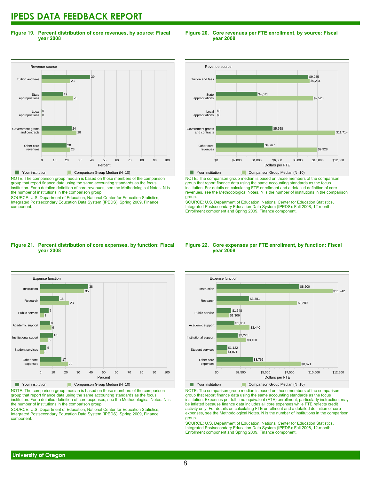**Figure 19. Percent distribution of core revenues, by source: Fiscal year 2008**

#### Revenue source 0 10 20 30 40 50 60 70 80 90 100 Percent Other core revenues Government grants<br>and contracts ...........<br>and cont Local appropriations **State** appropriations Tuition and fees  $23$  $20$ 28 24 0 0  $25$ 17 23 39 **Your institution** Comparison Group Median (N=10)

NOTE: The comparison group median is based on those members of the comparison group that report finance data using the same accounting standards as the focus institution. For a detailed definition of core revenues, see the Methodological Notes. N is the number of institutions in the comparison group.

SOURCE: U.S. Department of Education, National Center for Education Statistics, Integrated Postsecondary Education Data System (IPEDS): Spring 2009, Finance component.

#### **Figure 20. Core revenues per FTE enrollment, by source: Fiscal year 2008**



NOTE: The comparison group median is based on those members of the comparison group that report finance data using the same accounting standards as the focus institution. For details on calculating FTE enrollment and a detailed definition of core revenues, see the Methodological Notes. N is the number of institutions in the comparison group.

SOURCE: U.S. Department of Education, National Center for Education Statistics, Integrated Postsecondary Education Data System (IPEDS): Fall 2008, 12-month Enrollment component and Spring 2009, Finance component.

#### **Figure 21. Percent distribution of core expenses, by function: Fiscal year 2008**



NOTE: The comparison group median is based on those members of the comparison group that report finance data using the same accounting standards as the focus institution. For a detailed definition of core expenses, see the Methodological Notes. N is the number of institutions in the comparison group.

SOURCE: U.S. Department of Education, National Center for Education Statistics, Integrated Postsecondary Education Data System (IPEDS): Spring 2009, Finance component.

#### **Figure 22. Core expenses per FTE enrollment, by function: Fiscal year 2008**



NOTE: The comparison group median is based on those members of the comparison group that report finance data using the same accounting standards as the focus institution. Expenses per full-time equivalent (FTE) enrollment, particularly instruction, may be inflated because finance data includes all core expenses while FTE reflects credit activity only. For details on calculating FTE enrollment and a detailed definition of core expenses, see the Methodological Notes. N is the number of institutions in the comparison group.

SOURCE: U.S. Department of Education, National Center for Education Statistics, Integrated Postsecondary Education Data System (IPEDS): Fall 2008, 12-month Enrollment component and Spring 2009, Finance component.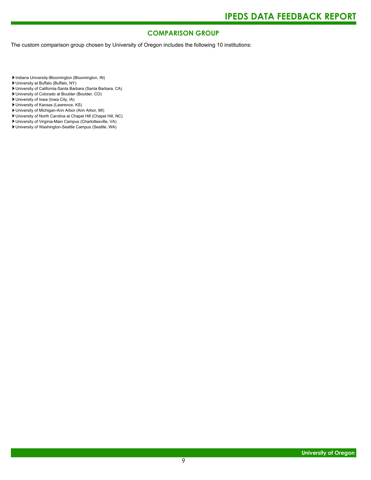### **COMPARISON GROUP**

The custom comparison group chosen by University of Oregon includes the following 10 institutions:

Indiana University-Bloomington (Bloomington, IN)

- University at Buffalo (Buffalo, NY)
- University of California-Santa Barbara (Santa Barbara, CA)
- University of Colorado at Boulder (Boulder, CO)
- University of Iowa (Iowa City, IA)
- University of Kansas (Lawrence, KS)
- University of Michigan-Ann Arbor (Ann Arbor, MI)
- University of North Carolina at Chapel Hill (Chapel Hill, NC)
- University of Virginia-Main Campus (Charlottesville, VA) University of Washington-Seattle Campus (Seattle, WA)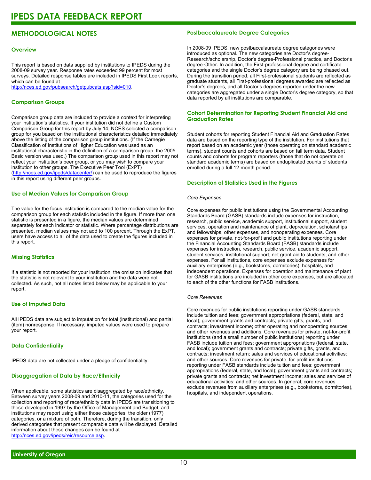### **METHODOLOGICAL NOTES**

#### **Overview**

This report is based on data supplied by institutions to IPEDS during the 2008-09 survey year. Response rates exceeded 99 percent for most surveys. Detailed response tables are included in IPEDS First Look reports, which can be found at [http://nces.ed.gov/pubsearch/getpubcats.asp?sid=010.](http://nces.ed.gov/pubsearch/getpubcats.asp?sid=010)

#### **Comparison Groups**

Comparison group data are included to provide a context for interpreting your institution's statistics. If your institution did not define a Custom Comparison Group for this report by July 14, NCES selected a comparison group for you based on the institutional characteristics detailed immediately above the listing of the comparison group institutions. (If the Carnegie Classification of Institutions of Higher Education was used as an institutional characteristic in the definition of a comparison group, the 2005 Basic version was used.) The comparison group used in this report may not reflect your institution's peer group, or you may wish to compare your institution to other groups. The Executive Peer Tool (ExPT) (<http://nces.ed.gov/ipeds/datacenter/>) can be used to reproduce the figures in this report using different peer groups.

#### **Use of Median Values for Comparison Group**

The value for the focus institution is compared to the median value for the comparison group for each statistic included in the figure. If more than one statistic is presented in a figure, the median values are determined separately for each indicator or statistic. Where percentage distributions are presented, median values may not add to 100 percent. Through the ExPT, users have access to all of the data used to create the figures included in this report.

#### **Missing Statistics**

If a statistic is not reported for your institution, the omission indicates that the statistic is not relevant to your institution and the data were not collected. As such, not all notes listed below may be applicable to your report.

#### **Use of Imputed Data**

All IPEDS data are subject to imputation for total (institutional) and partial (item) nonresponse. If necessary, imputed values were used to prepare your report.

#### **Data Confidentiality**

IPEDS data are not collected under a pledge of confidentiality.

#### **Disaggregation of Data by Race/Ethnicity**

When applicable, some statistics are disaggregated by race/ethnicity. Between survey years 2008-09 and 2010-11, the categories used for the collection and reporting of race/ethnicity data in IPEDS are transitioning to those developed in 1997 by the Office of Management and Budget, and institutions may report using either those categories, the older (1977) categories, or a mixture of both. Therefore, during the transition, only derived categories that present comparable data will be displayed. Detailed information about these changes can be found at <http://nces.ed.gov/ipeds/reic/resource.asp>.

#### **Postbaccalaureate Degree Categories**

In 2008-09 IPEDS, new postbaccalaureate degree categories were introduced as optional. The new categories are Doctor's degree-Research/scholarship, Doctor's degree-Professional practice, and Doctor's degree-Other. In addition, the First-professional degree and certificate categories and the single Doctor's degree category are being phased out. During the transition period, all First-professional students are reflected as graduate students, all First-professional degrees awarded are reflected as Doctor's degrees, and all Doctor's degrees reported under the new categories are aggregated under a single Doctor's degree category, so that data reported by all institutions are comparable.

#### **Cohort Determination for Reporting Student Financial Aid and Graduation Rates**

Student cohorts for reporting Student Financial Aid and Graduation Rates data are based on the reporting type of the institution. For institutions that report based on an academic year (those operating on standard academic terms), student counts and cohorts are based on fall term data. Student counts and cohorts for program reporters (those that do not operate on standard academic terms) are based on unduplicated counts of students enrolled during a full 12-month period.

#### **Description of Statistics Used in the Figures**

#### *Core Expenses*

Core expenses for public institutions using the Governmental Accounting Standards Board (GASB) standards include expenses for instruction, research, public service, academic support, institutional support, student services, operation and maintenance of plant, depreciation, scholarships and fellowships, other expenses, and nonoperating expenses. Core expenses for private, not-for-profit and public institutions reporting under the Financial Accounting Standards Board (FASB) standards include expenses for instruction, research, public service, academic support, student services, institutional support, net grant aid to students, and other expenses. For all institutions, core expenses exclude expenses for auxiliary enterprises (e.g., bookstores, dormitories), hospitals, and independent operations. Expenses for operation and maintenance of plant for GASB institutions are included in other core expenses, but are allocated to each of the other functions for FASB institutions.

#### *Core Revenues*

Core revenues for public institutions reporting under GASB standards include tuition and fees; government appropriations (federal, state, and local); government grants and contracts; private gifts, grants, and contracts; investment income; other operating and nonoperating sources; and other revenues and additions. Core revenues for private, not-for-profit institutions (and a small number of public institutions) reporting under FASB include tuition and fees; government appropriations (federal, state, and local); government grants and contracts; private gifts, grants, and contracts; investment return; sales and services of educational activities; and other sources. Core revenues for private, for-profit institutions reporting under FASB standards include tuition and fees; government appropriations (federal, state, and local); government grants and contracts; private grants and contracts; net investment income; sales and services of educational activities; and other sources. In general, core revenues exclude revenues from auxiliary enterprises (e.g., bookstores, dormitories), hospitals, and independent operations.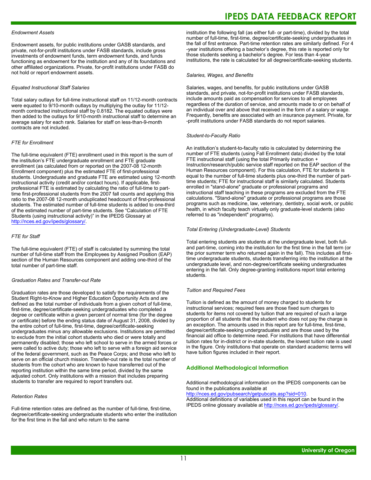#### *Endowment Assets*

Endowment assets, for public institutions under GASB standards, and private, not-for-profit institutions under FASB standards, include gross investments of endowment funds, term endowment funds, and funds functioning as endowment for the institution and any of its foundations and other affiliated organizations. Private, for-profit institutions under FASB do not hold or report endowment assets.

#### *Equated Instructional Staff Salaries*

Total salary outlays for full-time instructional staff on 11/12-month contracts were equated to 9/10-month outlays by multiplying the outlay for 11/12 month contracted instructional staff by 0.8182. The equated outlays were then added to the outlays for 9/10-month instructional staff to determine an average salary for each rank. Salaries for staff on less-than-9-month contracts are not included.

#### *FTE for Enrollment*

The full-time equivalent (FTE) enrollment used in this report is the sum of the institution's FTE undergraduate enrollment and FTE graduate enrollment (as calculated from or reported on the 2007-08 12-month Enrollment component) plus the estimated FTE of first-professional students. Undergraduate and graduate FTE are estimated using 12-month instructional activity (credit and/or contact hours). If applicable, firstprofessional FTE is estimated by calculating the ratio of full-time to parttime first-professional students from the 2007 fall counts and applying this ratio to the 2007-08 12-month unduplicated headcount of first-professional students. The estimated number of full-time students is added to one-third of the estimated number of part-time students. See "Calculation of FTE Students (using instructional activity)" in the IPEDS Glossary at <http://nces.ed.gov/ipeds/glossary/>.

#### *FTE for Staff*

The full-time equivalent (FTE) of staff is calculated by summing the total number of full-time staff from the Employees by Assigned Position (EAP) section of the Human Resources component and adding one-third of the total number of part-time staff.

#### *Graduation Rates and Transfer-out Rate*

Graduation rates are those developed to satisfy the requirements of the Student Right-to-Know and Higher Education Opportunity Acts and are defined as the total number of individuals from a given cohort of full-time, first-time, degree/certificate-seeking undergraduates who completed a degree or certificate within a given percent of normal time (for the degree or certificate) before the ending status date of August 31, 2008, divided by the entire cohort of full-time, first-time, degree/certificate-seeking undergraduates minus any allowable exclusions. Institutions are permitted to exclude from the initial cohort students who died or were totally and permanently disabled; those who left school to serve in the armed forces or were called to active duty; those who left to serve with a foreign aid service of the federal government, such as the Peace Corps; and those who left to serve on an official church mission. Transfer-out rate is the total number of students from the cohort who are known to have transferred out of the reporting institution within the same time period, divided by the same adjusted cohort. Only institutions with a mission that includes preparing students to transfer are required to report transfers out.

#### *Retention Rates*

Full-time retention rates are defined as the number of full-time, first-time, degree/certificate-seeking undergraduate students who enter the institution for the first time in the fall and who return to the same

### **IPEDS DATA FEEDBACK REPORT**

institution the following fall (as either full- or part-time), divided by the total number of full-time, first-time, degree/certificate-seeking undergraduates in the fall of first entrance. Part-time retention rates are similarly defined. For 4 -year institutions offering a bachelor's degree, this rate is reported only for those students seeking a bachelor's degree. For less than 4-year institutions, the rate is calculated for all degree/certificate-seeking students.

#### *Salaries, Wages, and Benefits*

Salaries, wages, and benefits, for public institutions under GASB standards, and private, not-for-profit institutions under FASB standards, include amounts paid as compensation for services to all employees regardless of the duration of service, and amounts made to or on behalf of an individual over and above that received in the form of a salary or wage. Frequently, benefits are associated with an insurance payment. Private, for -profit institutions under FASB standards do not report salaries.

#### *Student-to-Faculty Ratio*

An institution's student-to-faculty ratio is calculated by determining the number of FTE students (using Fall Enrollment data) divided by the total FTE instructional staff (using the total Primarily instruction + Instruction/research/public service staff reported on the EAP section of the Human Resources component). For this calculation, FTE for students is equal to the number of full-time students plus one-third the number of parttime students; FTE for instructional staff is similarly calculated. Students enrolled in "stand-alone" graduate or professional programs and instructional staff teaching in these programs are excluded from the FTE calculations. "Stand-alone" graduate or professional programs are those programs such as medicine, law, veterinary, dentistry, social work, or public health, in which faculty teach virtually only graduate-level students (also referred to as "independent" programs).

#### *Total Entering (Undergraduate-Level) Students*

Total entering students are students at the undergraduate level, both fulland part-time, coming into the institution for the first time in the fall term (or the prior summer term who returned again in the fall). This includes all firsttime undergraduate students, students transferring into the institution at the undergraduate level, and non-degree/certificate seeking undergraduates entering in the fall. Only degree-granting institutions report total entering students.

#### *Tuition and Required Fees*

Tuition is defined as the amount of money charged to students for instructional services; required fees are those fixed sum charges to students for items not covered by tuition that are required of such a large proportion of all students that the student who does not pay the charge is an exception. The amounts used in this report are for full-time, first-time, degree/certificate-seeking undergraduates and are those used by the financial aid office to determine need. For institutions that have differential tuition rates for in-district or in-state students, the lowest tuition rate is used in the figure. Only institutions that operate on standard academic terms will have tuition figures included in their report.

#### **Additional Methodological Information**

Additional methodological information on the IPEDS components can be found in the publications available at <http://nces.ed.gov/pubsearch/getpubcats.asp?sid=010>.

Additional definitions of variables used in this report can be found in the IPEDS online glossary available at <http://nces.ed.gov/ipeds/glossary/>.